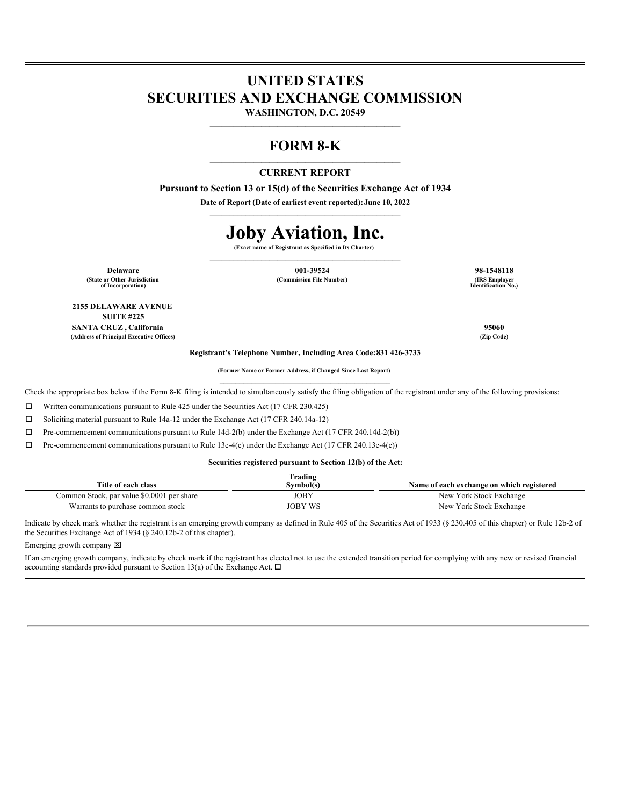## **UNITED STATES SECURITIES AND EXCHANGE COMMISSION**

**WASHINGTON, D.C. 20549**  $\mathcal{L}_\text{max}$  and the contract of the contract of the contract of the contract of the contract of the contract of the contract of the contract of the contract of the contract of the contract of the contract of the contrac

### **FORM 8-K** \_\_\_\_\_\_\_\_\_\_\_\_\_\_\_\_\_\_\_\_\_\_\_\_\_\_\_\_\_\_\_\_\_\_\_\_\_\_\_\_\_\_\_\_\_\_\_\_

### **CURRENT REPORT**

**Pursuant to Section 13 or 15(d) of the Securities Exchange Act of 1934 Date of Report (Date of earliest event reported):June 10, 2022**  $\mathcal{L}_\text{max}$  and the contract of the contract of the contract of the contract of the contract of the contract of the contract of the contract of the contract of the contract of the contract of the contract of the contrac

# **Joby Aviation, Inc.**

**(Exact name of Registrant as Specified in Its Charter)**  $\mathcal{L}_\text{max}$  and the contract of the contract of the contract of the contract of the contract of the contract of the contract of the contract of the contract of the contract of the contract of the contract of the contrac

**(State or Other Jurisdiction of Incorporation)**

**2155 DELAWARE AVENUE SUITE #225**

**Delaware 001-39524 98-1548118**  $(Commission File Number)$ 

**Identification No.)**

**SANTA CRUZ , California 95060 (Address of Principal Executive Offices) (Zip Code)**

**Registrant's Telephone Number, Including Area Code:831 426-3733**

**(Former Name or Former Address, if Changed Since Last Report)**  $\mathcal{L}_\text{max}$  and the contract of the contract of the contract of the contract of the contract of the contract of the contract of the contract of the contract of the contract of the contract of the contract of the contrac

Check the appropriate box below if the Form 8-K filing is intended to simultaneously satisfy the filing obligation of the registrant under any of the following provisions:

 $\Box$  Written communications pursuant to Rule 425 under the Securities Act (17 CFR 230.425)

 $\Box$  Soliciting material pursuant to Rule 14a-12 under the Exchange Act (17 CFR 240.14a-12)

 $\Box$  Pre-commencement communications pursuant to Rule 14d-2(b) under the Exchange Act (17 CFR 240.14d-2(b))

 $\Box$  Pre-commencement communications pursuant to Rule 13e-4(c) under the Exchange Act (17 CFR 240.13e-4(c))

#### **Securities registered pursuant to Section 12(b) of the Act:**

|                                            | Trading        |                                           |
|--------------------------------------------|----------------|-------------------------------------------|
| Title of each class                        | Symbol(s)      | Name of each exchange on which registered |
| Common Stock, par value \$0.0001 per share | JOBY           | New York Stock Exchange                   |
| Warrants to purchase common stock          | <b>JOBY WS</b> | New York Stock Exchange                   |

Indicate by check mark whether the registrant is an emerging growth company as defined in Rule 405 of the Securities Act of 1933 (§ 230.405 of this chapter) or Rule 12b-2 of the Securities Exchange Act of 1934 (§ 240.12b-2 of this chapter).

Emerging growth company  $\boxtimes$ 

If an emerging growth company, indicate by check mark if the registrant has elected not to use the extended transition period for complying with any new or revised financial accounting standards provided pursuant to Section 13(a) of the Exchange Act.  $\Box$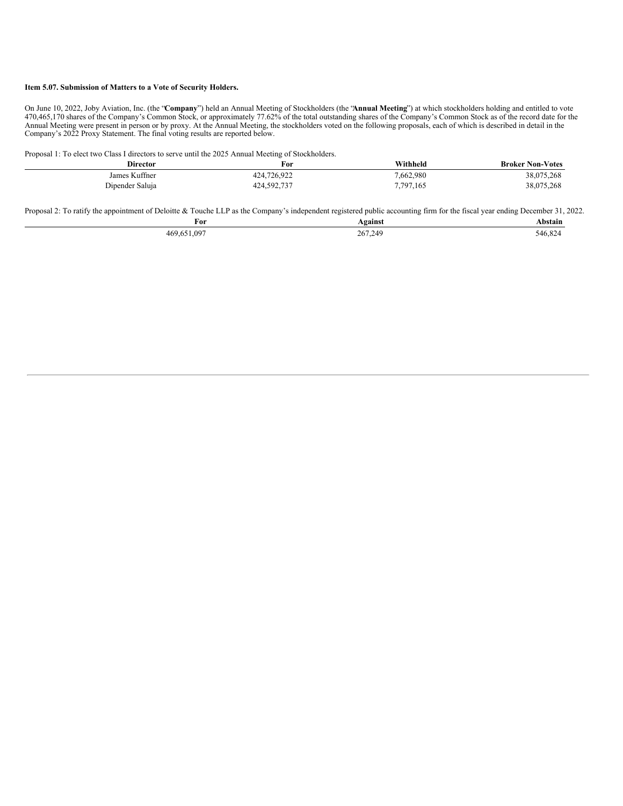#### **Item 5.07. Submission of Matters to a Vote of Security Holders.**

On June 10, 2022, Joby Aviation, Inc. (the "**Company**") held an Annual Meeting of Stockholders (the "**Annual Meeting**") at which stockholders holding and entitled to vote 470,465,170 shares of the Company's Common Stock, or approximately 77.62% of the total outstanding shares of the Company's Common Stock as of the record date for the Annual Meeting were present in person or by proxy. At the Annual Meeting, the stockholders voted on the following proposals, each of which is described in detail in the Company's 2022 Proxy Statement. The final voting results are reported below.

Proposal 1: To elect two Class I directors to serve until the 2025 Annual Meeting of Stockholders.

| <b>Director</b> | For         | Withheld  | <b>Broker Non-Votes</b> |
|-----------------|-------------|-----------|-------------------------|
| James Kuffner   | 424,726,922 | 7,662,980 | 38,075,268              |
| Dipender Saluja | 424,592,737 | 7,797,165 | 38,075,268              |

Proposal 2: To ratify the appointment of Deloitte & Touche LLP as the Company's independent registered public accounting firm for the fiscal year ending December 31, 2022.

| For              | <b>\gainst</b> | Abstain |
|------------------|----------------|---------|
| 0.097<br>469.651 | 267.249        | 546.82. |